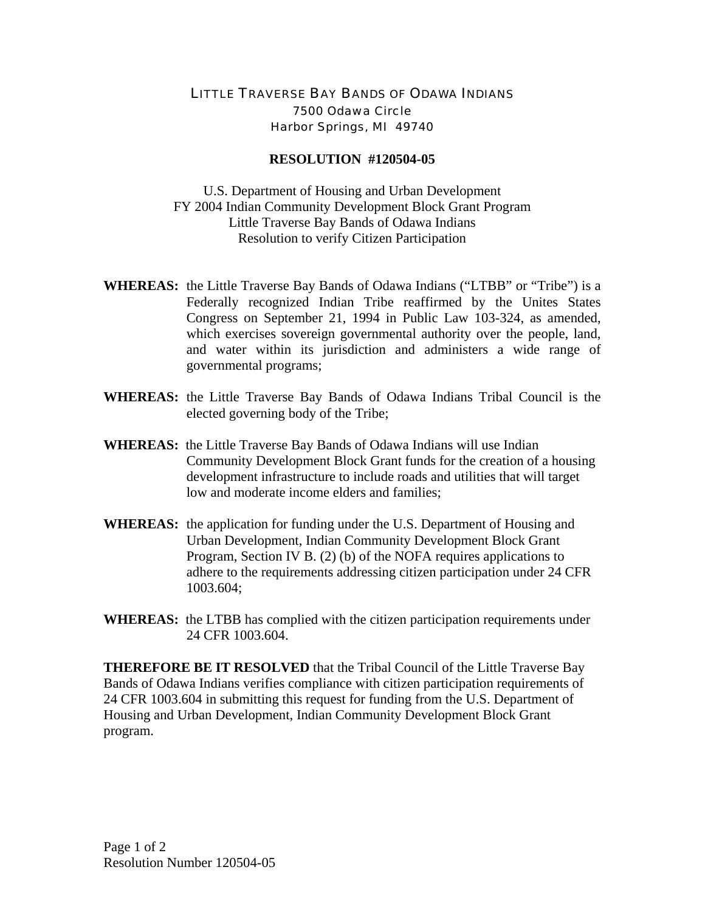## LITTLE TRAVERSE BAY BANDS OF ODAWA INDIANS 7500 Odawa Circle Harbor Springs, MI 49740

## **RESOLUTION #120504-05**

U.S. Department of Housing and Urban Development FY 2004 Indian Community Development Block Grant Program Little Traverse Bay Bands of Odawa Indians Resolution to verify Citizen Participation

- **WHEREAS:** the Little Traverse Bay Bands of Odawa Indians ("LTBB" or "Tribe") is a Federally recognized Indian Tribe reaffirmed by the Unites States Congress on September 21, 1994 in Public Law 103-324, as amended, which exercises sovereign governmental authority over the people, land, and water within its jurisdiction and administers a wide range of governmental programs;
- **WHEREAS:** the Little Traverse Bay Bands of Odawa Indians Tribal Council is the elected governing body of the Tribe;
- **WHEREAS:** the Little Traverse Bay Bands of Odawa Indians will use Indian Community Development Block Grant funds for the creation of a housing development infrastructure to include roads and utilities that will target low and moderate income elders and families;
- **WHEREAS:** the application for funding under the U.S. Department of Housing and Urban Development, Indian Community Development Block Grant Program, Section IV B. (2) (b) of the NOFA requires applications to adhere to the requirements addressing citizen participation under 24 CFR 1003.604;
- **WHEREAS:** the LTBB has complied with the citizen participation requirements under 24 CFR 1003.604.

**THEREFORE BE IT RESOLVED** that the Tribal Council of the Little Traverse Bay Bands of Odawa Indians verifies compliance with citizen participation requirements of 24 CFR 1003.604 in submitting this request for funding from the U.S. Department of Housing and Urban Development, Indian Community Development Block Grant program.